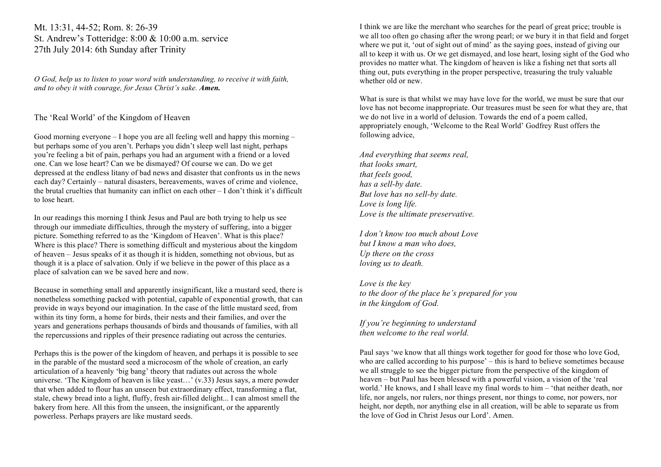Mt. 13:31, 44-52; Rom. 8: 26-39 St. Andrew's Totteridge: 8:00 & 10:00 a.m. service 27th July 2014: 6th Sunday after Trinity

*O God, help us to listen to your word with understanding, to receive it with faith, and to obey it with courage, for Jesus Christ's sake. Amen.*

# The 'Real World' of the Kingdom of Heaven

Good morning everyone – I hope you are all feeling well and happy this morning – but perhaps some of you aren't. Perhaps you didn't sleep well last night, perhaps you're feeling a bit of pain, perhaps you had an argument with a friend or a loved one. Can we lose heart? Can we be dismayed? Of course we can. Do we get depressed at the endless litany of bad news and disaster that confronts us in the news each day? Certainly – natural disasters, bereavements, waves of crime and violence, the brutal cruelties that humanity can inflict on each other – I don't think it's difficult to lose heart.

In our readings this morning I think Jesus and Paul are both trying to help us see through our immediate difficulties, through the mystery of suffering, into a bigger picture. Something referred to as the 'Kingdom of Heaven'. What is this place? Where is this place? There is something difficult and mysterious about the kingdom of heaven – Jesus speaks of it as though it is hidden, something not obvious, but as though it is a place of salvation. Only if we believe in the power of this place as a place of salvation can we be saved here and now.

Because in something small and apparently insignificant, like a mustard seed, there is nonetheless something packed with potential, capable of exponential growth, that can provide in ways beyond our imagination. In the case of the little mustard seed, from within its tiny form, a home for birds, their nests and their families, and over the years and generations perhaps thousands of birds and thousands of families, with all the repercussions and ripples of their presence radiating out across the centuries.

Perhaps this is the power of the kingdom of heaven, and perhaps it is possible to see in the parable of the mustard seed a microcosm of the whole of creation, an early articulation of a heavenly 'big bang' theory that radiates out across the whole universe. 'The Kingdom of heaven is like yeast…' (v.33) Jesus says, a mere powder that when added to flour has an unseen but extraordinary effect, transforming a flat, stale, chewy bread into a light, fluffy, fresh air-filled delight... I can almost smell the bakery from here. All this from the unseen, the insignificant, or the apparently powerless. Perhaps prayers are like mustard seeds.

I think we are like the merchant who searches for the pearl of great price; trouble is we all too often go chasing after the wrong pearl; or we bury it in that field and forget where we put it, 'out of sight out of mind' as the saying goes, instead of giving our all to keep it with us. Or we get dismayed, and lose heart, losing sight of the God who provides no matter what. The kingdom of heaven is like a fishing net that sorts all thing out, puts everything in the proper perspective, treasuring the truly valuable whether old or new.

What is sure is that whilst we may have love for the world, we must be sure that our love has not become inappropriate. Our treasures must be seen for what they are, that we do not live in a world of delusion. Towards the end of a poem called, appropriately enough, 'Welcome to the Real World' Godfrey Rust offers the following advice,

*And everything that seems real, that looks smart, that feels good, has a sell-by date. But love has no sell-by date. Love is long life. Love is the ultimate preservative.*

*I don't know too much about Love but I know a man who does, Up there on the cross loving us to death.*

*Love is the key to the door of the place he's prepared for you in the kingdom of God.*

*If you're beginning to understand then welcome to the real world.*

Paul says 'we know that all things work together for good for those who love God, who are called according to his purpose' – this is hard to believe sometimes because we all struggle to see the bigger picture from the perspective of the kingdom of heaven – but Paul has been blessed with a powerful vision, a vision of the 'real world.' He knows, and I shall leave my final words to him – 'that neither death, nor life, nor angels, nor rulers, nor things present, nor things to come, nor powers, nor height, nor depth, nor anything else in all creation, will be able to separate us from the love of God in Christ Jesus our Lord'. Amen.